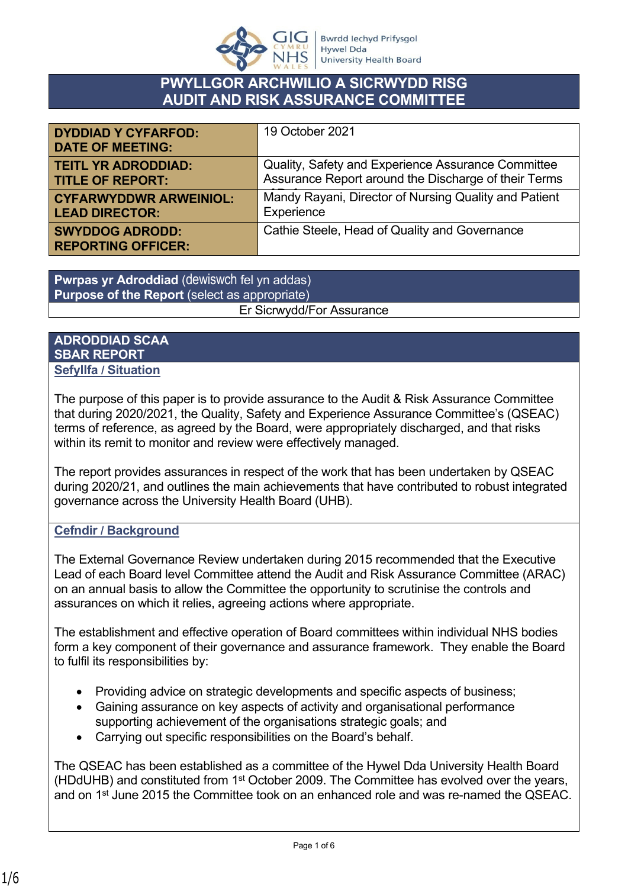

# **PWYLLGOR ARCHWILIO A SICRWYDD RISG AUDIT AND RISK ASSURANCE COMMITTEE**

| <b>DYDDIAD Y CYFARFOD:</b><br><b>DATE OF MEETING:</b> | 19 October 2021                                       |
|-------------------------------------------------------|-------------------------------------------------------|
| <b>TEITL YR ADRODDIAD:</b>                            | Quality, Safety and Experience Assurance Committee    |
| <b>TITLE OF REPORT:</b>                               | Assurance Report around the Discharge of their Terms  |
| <b>CYFARWYDDWR ARWEINIOL:</b>                         | Mandy Rayani, Director of Nursing Quality and Patient |
| <b>LEAD DIRECTOR:</b>                                 | Experience                                            |
| <b>SWYDDOG ADRODD:</b><br><b>REPORTING OFFICER:</b>   | Cathie Steele, Head of Quality and Governance         |

**Pwrpas yr Adroddiad** (dewiswch fel yn addas) **Purpose of the Report** (select as appropriate) Er Sicrwydd/For Assurance

#### **ADRODDIAD SCAA SBAR REPORT Sefyllfa / Situation**

The purpose of this paper is to provide assurance to the Audit & Risk Assurance Committee that during 2020/2021, the Quality, Safety and Experience Assurance Committee's (QSEAC) terms of reference, as agreed by the Board, were appropriately discharged, and that risks within its remit to monitor and review were effectively managed.

The report provides assurances in respect of the work that has been undertaken by QSEAC during 2020/21, and outlines the main achievements that have contributed to robust integrated governance across the University Health Board (UHB).

#### **Cefndir / Background**

The External Governance Review undertaken during 2015 recommended that the Executive Lead of each Board level Committee attend the Audit and Risk Assurance Committee (ARAC) on an annual basis to allow the Committee the opportunity to scrutinise the controls and assurances on which it relies, agreeing actions where appropriate.

The establishment and effective operation of Board committees within individual NHS bodies form a key component of their governance and assurance framework. They enable the Board to fulfil its responsibilities by:

- Providing advice on strategic developments and specific aspects of business;
- Gaining assurance on key aspects of activity and organisational performance supporting achievement of the organisations strategic goals; and
- Carrying out specific responsibilities on the Board's behalf.

The QSEAC has been established as a committee of the Hywel Dda University Health Board (HDdUHB) and constituted from 1st October 2009. The Committee has evolved over the years, and on 1st June 2015 the Committee took on an enhanced role and was re-named the QSEAC.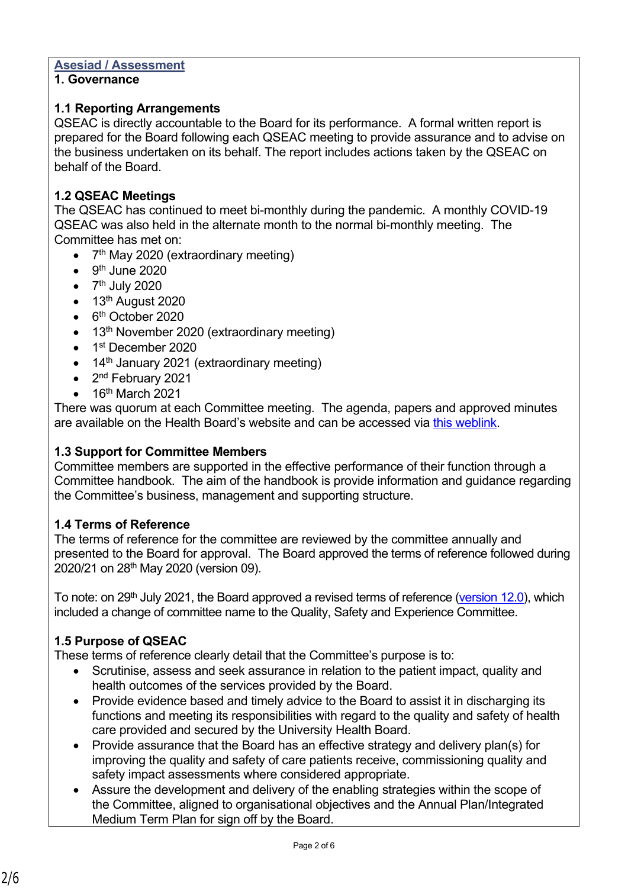#### **Asesiad / Assessment**

#### **1. Governance**

#### **1.1 Reporting Arrangements**

QSEAC is directly accountable to the Board for its performance. A formal written report is prepared for the Board following each QSEAC meeting to provide assurance and to advise on the business undertaken on its behalf. The report includes actions taken by the QSEAC on behalf of the Board.

#### **1.2 QSEAC Meetings**

The QSEAC has continued to meet bi-monthly during the pandemic. A monthly COVID-19 QSEAC was also held in the alternate month to the normal bi-monthly meeting. The Committee has met on:

- 7<sup>th</sup> May 2020 (extraordinary meeting)
- $\bullet$  9<sup>th</sup> June 2020
- $\bullet$  7<sup>th</sup> July 2020
- $\bullet$  13<sup>th</sup> August 2020
- 6<sup>th</sup> October 2020
- 13<sup>th</sup> November 2020 (extraordinary meeting)
- 1<sup>st</sup> December 2020
- $\bullet$  14<sup>th</sup> January 2021 (extraordinary meeting)
- 2<sup>nd</sup> February 2021
- 16<sup>th</sup> March 2021

There was quorum at each Committee meeting. The agenda, papers and approved minutes are available on the Health Board's website and can be accessed via [this weblink.](https://hduhb.nhs.wales/about-us/governance-arrangements/board-committees/quality-safety-and-experience-committee-qsec/)

#### **1.3 Support for Committee Members**

Committee members are supported in the effective performance of their function through a Committee handbook. The aim of the handbook is provide information and guidance regarding the Committee's business, management and supporting structure.

#### **1.4 Terms of Reference**

The terms of reference for the committee are reviewed by the committee annually and presented to the Board for approval. The Board approved the terms of reference followed during 2020/21 on 28th May 2020 (version 09).

To note: on 29<sup>th</sup> July 2021, the Board approved a revised terms of reference [\(version 12.0\)](https://hduhb.nhs.wales/about-us/governance-arrangements/board-committees/statutory-committees-terms-of-reference/qsec-terms-of-reference-pdf-1-1mb/), which included a change of committee name to the Quality, Safety and Experience Committee.

### **1.5 Purpose of QSEAC**

These terms of reference clearly detail that the Committee's purpose is to:

- Scrutinise, assess and seek assurance in relation to the patient impact, quality and health outcomes of the services provided by the Board.
- Provide evidence based and timely advice to the Board to assist it in discharging its functions and meeting its responsibilities with regard to the quality and safety of health care provided and secured by the University Health Board.
- Provide assurance that the Board has an effective strategy and delivery plan(s) for improving the quality and safety of care patients receive, commissioning quality and safety impact assessments where considered appropriate.
- Assure the development and delivery of the enabling strategies within the scope of the Committee, aligned to organisational objectives and the Annual Plan/Integrated Medium Term Plan for sign off by the Board.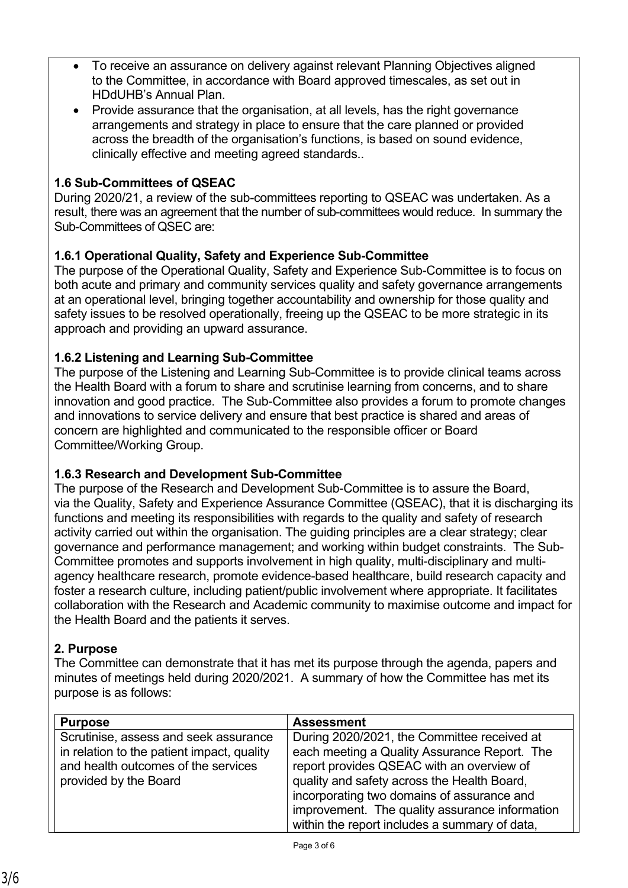- To receive an assurance on delivery against relevant Planning Objectives aligned to the Committee, in accordance with Board approved timescales, as set out in HDdUHB's Annual Plan.
- Provide assurance that the organisation, at all levels, has the right governance arrangements and strategy in place to ensure that the care planned or provided across the breadth of the organisation's functions, is based on sound evidence, clinically effective and meeting agreed standards..

### **1.6 Sub-Committees of QSEAC**

During 2020/21, a review of the sub-committees reporting to QSEAC was undertaken. As a result, there was an agreement that the number of sub-committees would reduce. In summary the Sub-Committees of QSEC are:

### **1.6.1 Operational Quality, Safety and Experience Sub-Committee**

The purpose of the Operational Quality, Safety and Experience Sub-Committee is to focus on both acute and primary and community services quality and safety governance arrangements at an operational level, bringing together accountability and ownership for those quality and safety issues to be resolved operationally, freeing up the QSEAC to be more strategic in its approach and providing an upward assurance.

#### **1.6.2 Listening and Learning Sub-Committee**

The purpose of the Listening and Learning Sub-Committee is to provide clinical teams across the Health Board with a forum to share and scrutinise learning from concerns, and to share innovation and good practice. The Sub-Committee also provides a forum to promote changes and innovations to service delivery and ensure that best practice is shared and areas of concern are highlighted and communicated to the responsible officer or Board Committee/Working Group.

#### **1.6.3 Research and Development Sub-Committee**

The purpose of the Research and Development Sub-Committee is to assure the Board, via the Quality, Safety and Experience Assurance Committee (QSEAC), that it is discharging its functions and meeting its responsibilities with regards to the quality and safety of research activity carried out within the organisation. The guiding principles are a clear strategy; clear governance and performance management; and working within budget constraints. The Sub-Committee promotes and supports involvement in high quality, multi-disciplinary and multiagency healthcare research, promote evidence-based healthcare, build research capacity and foster a research culture, including patient/public involvement where appropriate. It facilitates collaboration with the Research and Academic community to maximise outcome and impact for the Health Board and the patients it serves.

#### **2. Purpose**

The Committee can demonstrate that it has met its purpose through the agenda, papers and minutes of meetings held during 2020/2021. A summary of how the Committee has met its purpose is as follows:

| <b>Purpose</b>                                                                                                                                      | <b>Assessment</b>                                                                                                                                                                                                                                                                                                                        |
|-----------------------------------------------------------------------------------------------------------------------------------------------------|------------------------------------------------------------------------------------------------------------------------------------------------------------------------------------------------------------------------------------------------------------------------------------------------------------------------------------------|
| Scrutinise, assess and seek assurance<br>in relation to the patient impact, quality<br>and health outcomes of the services<br>provided by the Board | During 2020/2021, the Committee received at<br>each meeting a Quality Assurance Report. The<br>report provides QSEAC with an overview of<br>quality and safety across the Health Board,<br>incorporating two domains of assurance and<br>improvement. The quality assurance information<br>within the report includes a summary of data, |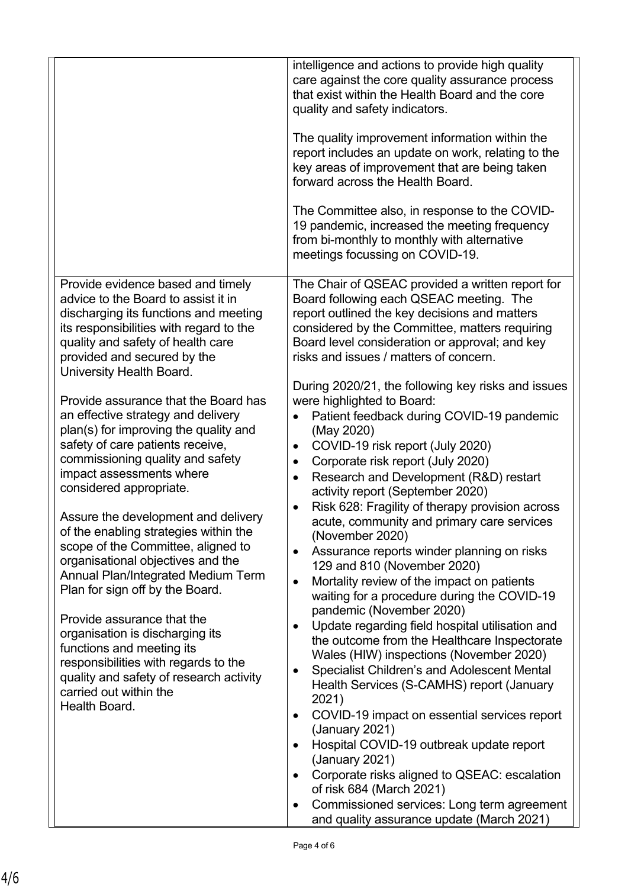|                                                                                                                                                                                                                                                                                                                                                                                                                                                                                                                                                                                                                                                                                                                                                                                                                                                                                                                                                                                           | intelligence and actions to provide high quality<br>care against the core quality assurance process<br>that exist within the Health Board and the core<br>quality and safety indicators.<br>The quality improvement information within the<br>report includes an update on work, relating to the<br>key areas of improvement that are being taken<br>forward across the Health Board.<br>The Committee also, in response to the COVID-<br>19 pandemic, increased the meeting frequency<br>from bi-monthly to monthly with alternative<br>meetings focussing on COVID-19.                                                                                                                                                                                                                                                                                                                                                                                                                                                                                                                                                                                                                                                                                                                                                                                                                                                                                                                                                                                       |
|-------------------------------------------------------------------------------------------------------------------------------------------------------------------------------------------------------------------------------------------------------------------------------------------------------------------------------------------------------------------------------------------------------------------------------------------------------------------------------------------------------------------------------------------------------------------------------------------------------------------------------------------------------------------------------------------------------------------------------------------------------------------------------------------------------------------------------------------------------------------------------------------------------------------------------------------------------------------------------------------|----------------------------------------------------------------------------------------------------------------------------------------------------------------------------------------------------------------------------------------------------------------------------------------------------------------------------------------------------------------------------------------------------------------------------------------------------------------------------------------------------------------------------------------------------------------------------------------------------------------------------------------------------------------------------------------------------------------------------------------------------------------------------------------------------------------------------------------------------------------------------------------------------------------------------------------------------------------------------------------------------------------------------------------------------------------------------------------------------------------------------------------------------------------------------------------------------------------------------------------------------------------------------------------------------------------------------------------------------------------------------------------------------------------------------------------------------------------------------------------------------------------------------------------------------------------|
| Provide evidence based and timely<br>advice to the Board to assist it in<br>discharging its functions and meeting<br>its responsibilities with regard to the<br>quality and safety of health care<br>provided and secured by the<br>University Health Board.<br>Provide assurance that the Board has<br>an effective strategy and delivery<br>plan(s) for improving the quality and<br>safety of care patients receive,<br>commissioning quality and safety<br>impact assessments where<br>considered appropriate.<br>Assure the development and delivery<br>of the enabling strategies within the<br>scope of the Committee, aligned to<br>organisational objectives and the<br><b>Annual Plan/Integrated Medium Term</b><br>Plan for sign off by the Board.<br>Provide assurance that the<br>organisation is discharging its<br>functions and meeting its<br>responsibilities with regards to the<br>quality and safety of research activity<br>carried out within the<br>Health Board. | The Chair of QSEAC provided a written report for<br>Board following each QSEAC meeting. The<br>report outlined the key decisions and matters<br>considered by the Committee, matters requiring<br>Board level consideration or approval; and key<br>risks and issues / matters of concern.<br>During 2020/21, the following key risks and issues<br>were highlighted to Board:<br>Patient feedback during COVID-19 pandemic<br>(May 2020)<br>COVID-19 risk report (July 2020)<br>٠<br>Corporate risk report (July 2020)<br>٠<br>Research and Development (R&D) restart<br>$\bullet$<br>activity report (September 2020)<br>Risk 628: Fragility of therapy provision across<br>$\bullet$<br>acute, community and primary care services<br>(November 2020)<br>Assurance reports winder planning on risks<br>129 and 810 (November 2020)<br>Mortality review of the impact on patients<br>$\bullet$<br>waiting for a procedure during the COVID-19<br>pandemic (November 2020)<br>Update regarding field hospital utilisation and<br>$\bullet$<br>the outcome from the Healthcare Inspectorate<br>Wales (HIW) inspections (November 2020)<br>Specialist Children's and Adolescent Mental<br>$\bullet$<br>Health Services (S-CAMHS) report (January<br>2021)<br>COVID-19 impact on essential services report<br>٠<br>(January 2021)<br>Hospital COVID-19 outbreak update report<br>$\bullet$<br>(January 2021)<br>Corporate risks aligned to QSEAC: escalation<br>$\bullet$<br>of risk 684 (March 2021)<br>Commissioned services: Long term agreement<br>$\bullet$ |
|                                                                                                                                                                                                                                                                                                                                                                                                                                                                                                                                                                                                                                                                                                                                                                                                                                                                                                                                                                                           | and quality assurance update (March 2021)                                                                                                                                                                                                                                                                                                                                                                                                                                                                                                                                                                                                                                                                                                                                                                                                                                                                                                                                                                                                                                                                                                                                                                                                                                                                                                                                                                                                                                                                                                                      |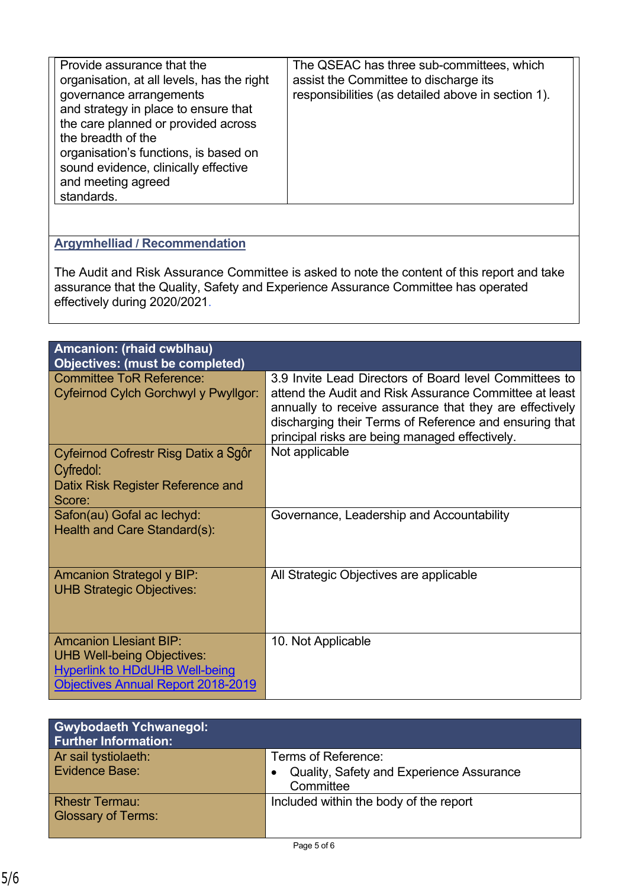| Provide assurance that the<br>organisation, at all levels, has the right<br>governance arrangements<br>and strategy in place to ensure that<br>the care planned or provided across<br>the breadth of the<br>organisation's functions, is based on<br>sound evidence, clinically effective<br>and meeting agreed<br>standards. | The QSEAC has three sub-committees, which<br>assist the Committee to discharge its<br>responsibilities (as detailed above in section 1). |
|-------------------------------------------------------------------------------------------------------------------------------------------------------------------------------------------------------------------------------------------------------------------------------------------------------------------------------|------------------------------------------------------------------------------------------------------------------------------------------|
|-------------------------------------------------------------------------------------------------------------------------------------------------------------------------------------------------------------------------------------------------------------------------------------------------------------------------------|------------------------------------------------------------------------------------------------------------------------------------------|

# **Argymhelliad / Recommendation**

The Audit and Risk Assurance Committee is asked to note the content of this report and take assurance that the Quality, Safety and Experience Assurance Committee has operated effectively during 2020/2021.

| Amcanion: (rhaid cwblhau)<br><b>Objectives: (must be completed)</b>                                                                               |                                                                                                                                                                                                                                                                                         |
|---------------------------------------------------------------------------------------------------------------------------------------------------|-----------------------------------------------------------------------------------------------------------------------------------------------------------------------------------------------------------------------------------------------------------------------------------------|
| <b>Committee ToR Reference:</b><br>Cyfeirnod Cylch Gorchwyl y Pwyllgor:                                                                           | 3.9 Invite Lead Directors of Board level Committees to<br>attend the Audit and Risk Assurance Committee at least<br>annually to receive assurance that they are effectively<br>discharging their Terms of Reference and ensuring that<br>principal risks are being managed effectively. |
| Cyfeirnod Cofrestr Risg Datix a Sgôr<br>Cyfredol:<br>Datix Risk Register Reference and<br>Score:                                                  | Not applicable                                                                                                                                                                                                                                                                          |
| Safon(au) Gofal ac lechyd:<br>Health and Care Standard(s):                                                                                        | Governance, Leadership and Accountability                                                                                                                                                                                                                                               |
| <b>Amcanion Strategol y BIP:</b><br><b>UHB Strategic Objectives:</b>                                                                              | All Strategic Objectives are applicable                                                                                                                                                                                                                                                 |
| <b>Amcanion Llesiant BIP:</b><br><b>UHB Well-being Objectives:</b><br><b>Hyperlink to HDdUHB Well-being</b><br>Objectives Annual Report 2018-2019 | 10. Not Applicable                                                                                                                                                                                                                                                                      |

| <b>Gwybodaeth Ychwanegol:</b><br><b>Further Information:</b> |                                                                 |
|--------------------------------------------------------------|-----------------------------------------------------------------|
| Ar sail tystiolaeth:<br><b>Evidence Base:</b>                | Terms of Reference:<br>Quality, Safety and Experience Assurance |
|                                                              | Committee                                                       |
| <b>Rhestr Termau:</b><br><b>Glossary of Terms:</b>           | Included within the body of the report                          |
|                                                              |                                                                 |